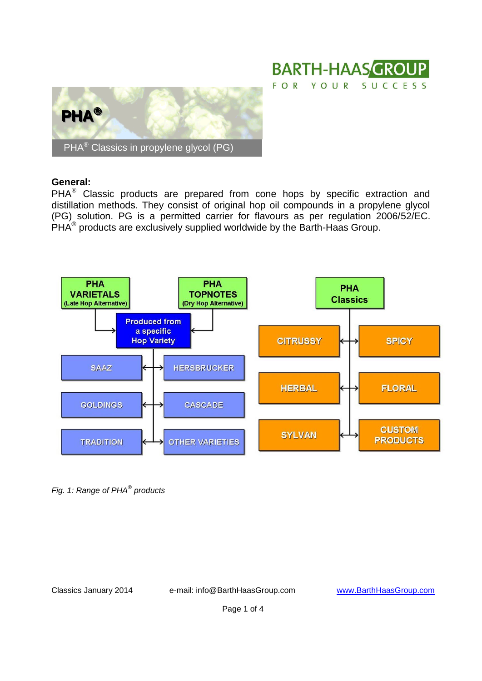



## **General:**

 $PHA<sup>®</sup>$  Classic products are prepared from cone hops by specific extraction and distillation methods. They consist of original hop oil compounds in a propylene glycol (PG) solution. PG is a permitted carrier for flavours as per regulation 2006/52/EC.  $\overline{\mathsf{PHA}}^{\circledast}$  products are exclusively supplied worldwide by the Barth-Haas Group.



*Fig. 1: Range of PHA® products*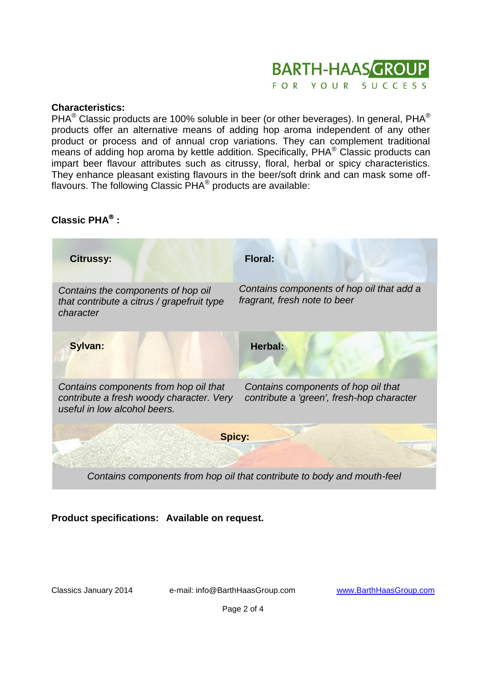#### **BARTH-HAAS GROUP** FOR YOUR SUCCESS

## **Characteristics:**

PHA $^{\circledR}$  Classic products are 100% soluble in beer (or other beverages). In general, PHA $^{\circledR}$ products offer an alternative means of adding hop aroma independent of any other product or process and of annual crop variations. They can complement traditional means of adding hop aroma by kettle addition. Specifically, PHA<sup>®</sup> Classic products can impart beer flavour attributes such as citrussy, floral, herbal or spicy characteristics. They enhance pleasant existing flavours in the beer/soft drink and can mask some offflavours. The following Classic  $\overline{\mathsf{PHA}^{\mathsf{@}}}$  products are available:

# **Classic PHA :**



**Product specifications: Available on request.**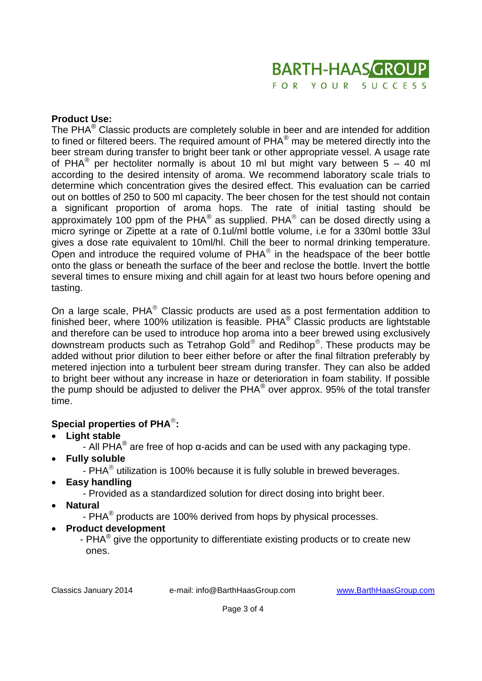

### **Product Use:**

The PHA $^{\circ}$  Classic products are completely soluble in beer and are intended for addition to fined or filtered beers. The required amount of PHA<sup>®</sup> may be metered directly into the beer stream during transfer to bright beer tank or other appropriate vessel. A usage rate of PHA<sup>®</sup> per hectoliter normally is about 10 ml but might vary between 5 - 40 ml according to the desired intensity of aroma. We recommend laboratory scale trials to determine which concentration gives the desired effect. This evaluation can be carried out on bottles of 250 to 500 ml capacity. The beer chosen for the test should not contain a significant proportion of aroma hops. The rate of initial tasting should be approximately 100 ppm of the PHA $^{\circledast}$  as supplied. PHA $^{\circledast}$  can be dosed directly using a micro syringe or Zipette at a rate of 0.1ul/ml bottle volume, i.e for a 330ml bottle 33ul gives a dose rate equivalent to 10ml/hl. Chill the beer to normal drinking temperature. Open and introduce the required volume of  $PHA<sup>®</sup>$  in the headspace of the beer bottle onto the glass or beneath the surface of the beer and reclose the bottle. Invert the bottle several times to ensure mixing and chill again for at least two hours before opening and tasting.

On a large scale,  $PHA<sup>®</sup>$  Classic products are used as a post fermentation addition to finished beer, where 100% utilization is feasible.  $PHA<sup>®</sup>$  Classic products are lightstable and therefore can be used to introduce hop aroma into a beer brewed using exclusively downstream products such as Tetrahop Gold® and Redihop®. These products may be added without prior dilution to beer either before or after the final filtration preferably by metered injection into a turbulent beer stream during transfer. They can also be added to bright beer without any increase in haze or deterioration in foam stability. If possible the pump should be adjusted to deliver the PHA® over approx. 95% of the total transfer time.

## **Special properties of PHA :**

- **Light stable**
	- All PHA<sup>®</sup> are free of hop α-acids and can be used with any packaging type.
- **Fully soluble** 
	- PHA $^{\circ}$  utilization is 100% because it is fully soluble in brewed beverages.
- **Easy handling**
	- Provided as a standardized solution for direct dosing into bright beer.
- **Natural**
	- PHA<sup>®</sup> products are 100% derived from hops by physical processes.
- **Product development**
	- PHA<sup>®</sup> give the opportunity to differentiate existing products or to create new ones.